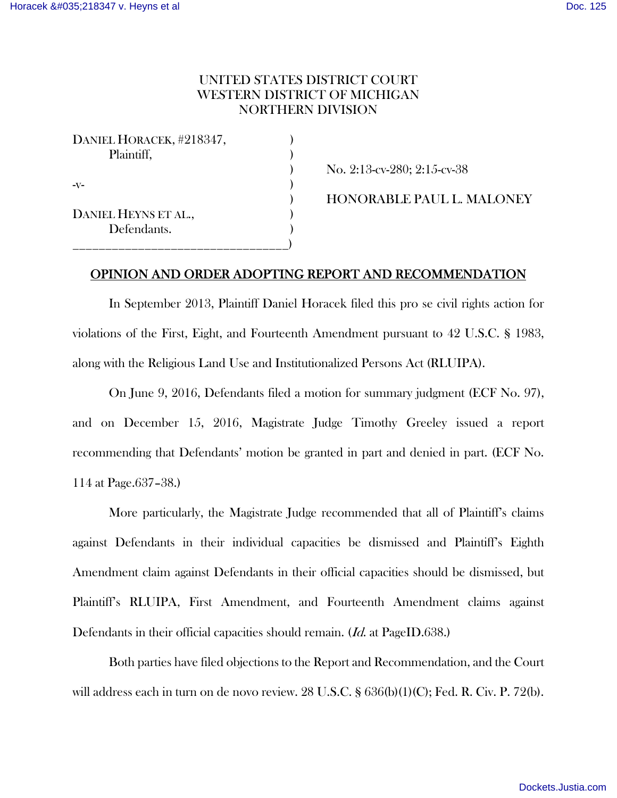# UNITED STATES DISTRICT COURT WESTERN DISTRICT OF MICHIGAN NORTHERN DIVISION

| DANIEL HORACEK, #218347, |  |
|--------------------------|--|
| Plaintiff,               |  |
|                          |  |
| $-V-$                    |  |
|                          |  |
| DANIEL HEYNS ET AL.,     |  |
| Defendants.              |  |
|                          |  |

) No. 2:13-cv-280; 2:15-cv-38

) HONORABLE PAUL L. MALONEY

# OPINION AND ORDER ADOPTING REPORT AND RECOMMENDATION

In September 2013, Plaintiff Daniel Horacek filed this pro se civil rights action for violations of the First, Eight, and Fourteenth Amendment pursuant to 42 U.S.C. § 1983, along with the Religious Land Use and Institutionalized Persons Act (RLUIPA).

On June 9, 2016, Defendants filed a motion for summary judgment (ECF No. 97), and on December 15, 2016, Magistrate Judge Timothy Greeley issued a report recommending that Defendants' motion be granted in part and denied in part. (ECF No. 114 at Page.637–38.)

More particularly, the Magistrate Judge recommended that all of Plaintiff's claims against Defendants in their individual capacities be dismissed and Plaintiff's Eighth Amendment claim against Defendants in their official capacities should be dismissed, but Plaintiff's RLUIPA, First Amendment, and Fourteenth Amendment claims against Defendants in their official capacities should remain. (*Id.* at PageID.638.)

Both parties have filed objections to the Report and Recommendation, and the Court will address each in turn on de novo review. 28 U.S.C. § 636(b)(1)(C); Fed. R. Civ. P. 72(b).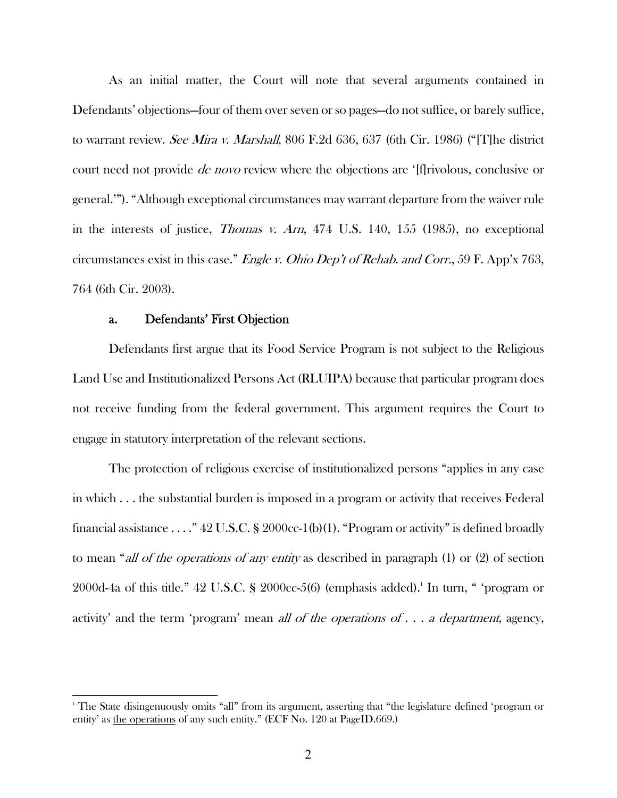As an initial matter, the Court will note that several arguments contained in Defendants' objections—four of them over seven or so pages—do not suffice, or barely suffice, to warrant review. See Mira v. Marshall, 806 F.2d 636, 637 (6th Cir. 1986) ("[T]he district court need not provide de novo review where the objections are '[f]rivolous, conclusive or general.'"). "Although exceptional circumstances may warrant departure from the waiver rule in the interests of justice, Thomas v. Arn, 474 U.S. 140, 155 (1985), no exceptional circumstances exist in this case." *Engle v. Ohio Dep't of Rehab. and Corr.*, 59 F. App'x 763, 764 (6th Cir. 2003).

## a. Defendants' First Objection

 $\overline{a}$ 

Defendants first argue that its Food Service Program is not subject to the Religious Land Use and Institutionalized Persons Act (RLUIPA) because that particular program does not receive funding from the federal government. This argument requires the Court to engage in statutory interpretation of the relevant sections.

The protection of religious exercise of institutionalized persons "applies in any case in which . . . the substantial burden is imposed in a program or activity that receives Federal financial assistance ...."  $42$  U.S.C. § 2000cc-1(b)(1). "Program or activity" is defined broadly to mean "all of the operations of any entity as described in paragraph (1) or (2) of section  $2000d$ -4a of this title." 42 U.S.C. § 2000 $cc$ -5(6) (emphasis added).<sup>1</sup> In turn, " 'program or activity' and the term 'program' mean *all of the operations of*  $\ldots$  *a department*, agency,

<sup>1</sup> The State disingenuously omits "all" from its argument, asserting that "the legislature defined 'program or entity' as the operations of any such entity." (ECF No. 120 at PageID.669.)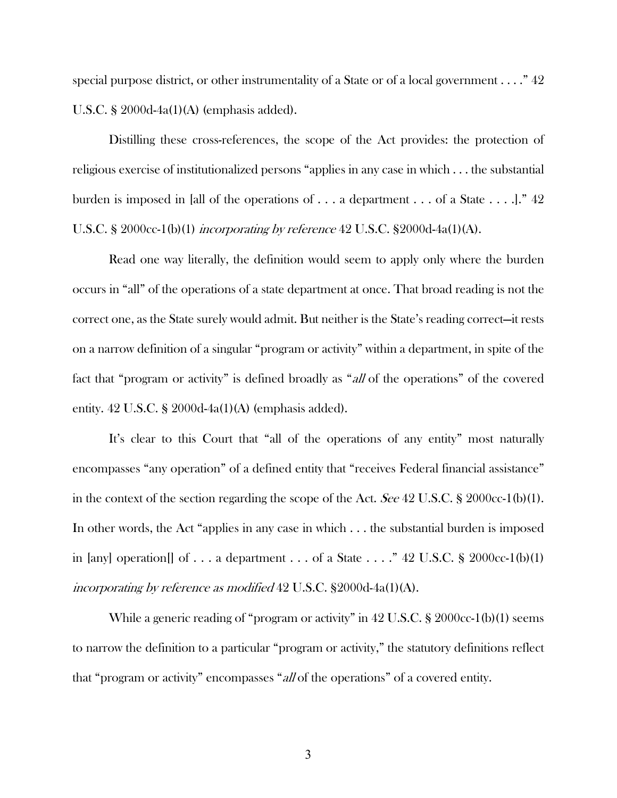special purpose district, or other instrumentality of a State or of a local government  $\dots$ ."  $42$ U.S.C. § 2000d-4a(1)(A) (emphasis added).

Distilling these cross-references, the scope of the Act provides: the protection of religious exercise of institutionalized persons "applies in any case in which . . . the substantial burden is imposed in [all of the operations of . . . a department . . . of a State . . . .]." 42 U.S.C. § 2000cc-1(b)(1) incorporating by reference 42 U.S.C. §2000d-4a(1)(A).

Read one way literally, the definition would seem to apply only where the burden occurs in "all" of the operations of a state department at once. That broad reading is not the correct one, as the State surely would admit. But neither is the State's reading correct—it rests on a narrow definition of a singular "program or activity" within a department, in spite of the fact that "program or activity" is defined broadly as "all of the operations" of the covered entity. 42 U.S.C. § 2000d-4a(1)(A) (emphasis added).

It's clear to this Court that "all of the operations of any entity" most naturally encompasses "any operation" of a defined entity that "receives Federal financial assistance" in the context of the section regarding the scope of the Act. See 42 U.S.C. § 2000cc-1(b)(1). In other words, the Act "applies in any case in which . . . the substantial burden is imposed in [any] operation[] of ... a department ... of a State ...."  $42 \text{ U.S.C.}$  § 2000cc-1(b)(1) incorporating by reference as modified 42 U.S.C. §2000d-4a(1)(A).

While a generic reading of "program or activity" in 42 U.S.C. § 2000cc-1(b)(1) seems to narrow the definition to a particular "program or activity," the statutory definitions reflect that "program or activity" encompasses "all of the operations" of a covered entity.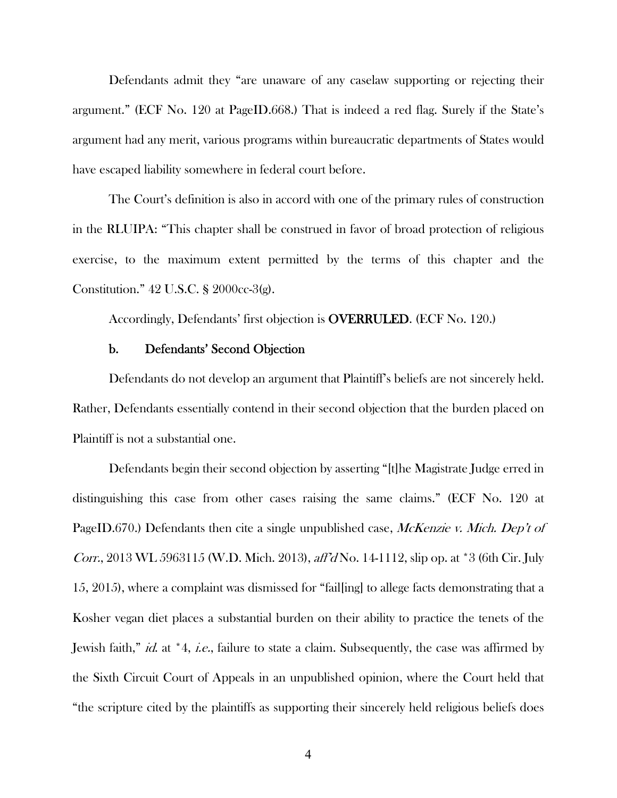Defendants admit they "are unaware of any caselaw supporting or rejecting their argument." (ECF No. 120 at PageID.668.) That is indeed a red flag. Surely if the State's argument had any merit, various programs within bureaucratic departments of States would have escaped liability somewhere in federal court before.

The Court's definition is also in accord with one of the primary rules of construction in the RLUIPA: "This chapter shall be construed in favor of broad protection of religious exercise, to the maximum extent permitted by the terms of this chapter and the Constitution." 42 U.S.C. § 2000cc-3(g).

Accordingly, Defendants' first objection is OVERRULED. (ECF No. 120.)

# b. Defendants' Second Objection

Defendants do not develop an argument that Plaintiff's beliefs are not sincerely held. Rather, Defendants essentially contend in their second objection that the burden placed on Plaintiff is not a substantial one.

Defendants begin their second objection by asserting "[t]he Magistrate Judge erred in distinguishing this case from other cases raising the same claims." (ECF No. 120 at PageID.670.) Defendants then cite a single unpublished case, McKenzie v. Mich. Dep't of Corr., 2013 WL 5963115 (W.D. Mich. 2013), aff'd No. 14-1112, slip op. at \*3 (6th Cir. July 15, 2015), where a complaint was dismissed for "fail[ing] to allege facts demonstrating that a Kosher vegan diet places a substantial burden on their ability to practice the tenets of the Jewish faith," id. at \*4, i.e., failure to state a claim. Subsequently, the case was affirmed by the Sixth Circuit Court of Appeals in an unpublished opinion, where the Court held that "the scripture cited by the plaintiffs as supporting their sincerely held religious beliefs does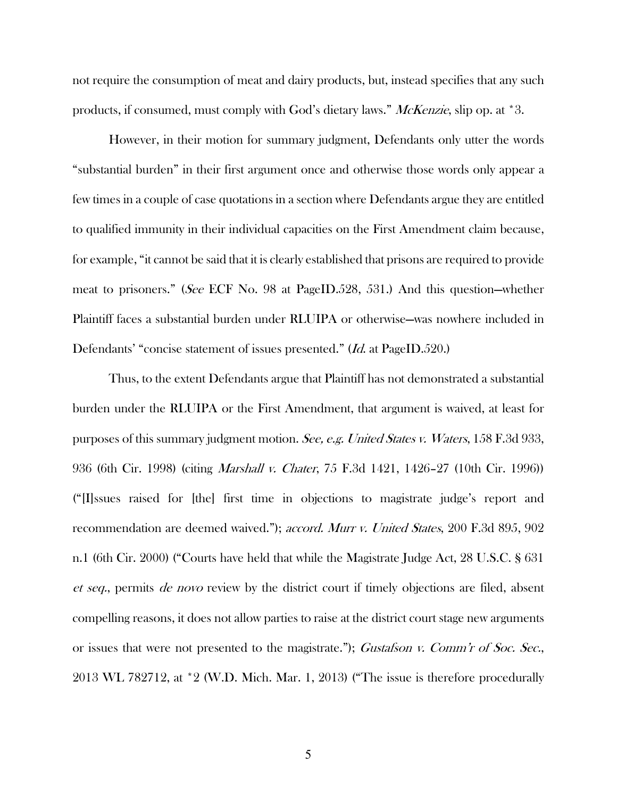not require the consumption of meat and dairy products, but, instead specifies that any such products, if consumed, must comply with God's dietary laws." McKenzie, slip op. at \*3.

However, in their motion for summary judgment, Defendants only utter the words "substantial burden" in their first argument once and otherwise those words only appear a few times in a couple of case quotations in a section where Defendants argue they are entitled to qualified immunity in their individual capacities on the First Amendment claim because, for example, "it cannot be said that it is clearly established that prisons are required to provide meat to prisoners." (See ECF No. 98 at PageID.528, 531.) And this question—whether Plaintiff faces a substantial burden under RLUIPA or otherwise—was nowhere included in Defendants' "concise statement of issues presented." (Id. at PageID.520.)

Thus, to the extent Defendants argue that Plaintiff has not demonstrated a substantial burden under the RLUIPA or the First Amendment, that argument is waived, at least for purposes of this summary judgment motion. See, e.g. United States v. Waters, 158 F.3d 933, 936 (6th Cir. 1998) (citing Marshall v. Chater, 75 F.3d 1421, 1426–27 (10th Cir. 1996)) ("[I]ssues raised for [the] first time in objections to magistrate judge's report and recommendation are deemed waived."); *accord. Murr v. United States*, 200 F.3d 895, 902 n.1 (6th Cir. 2000) ("Courts have held that while the Magistrate Judge Act, 28 U.S.C. § 631 et seq., permits de novo review by the district court if timely objections are filed, absent compelling reasons, it does not allow parties to raise at the district court stage new arguments or issues that were not presented to the magistrate."); Gustafson v. Comm'r of Soc. Sec., 2013 WL 782712, at \*2 (W.D. Mich. Mar. 1, 2013) ("The issue is therefore procedurally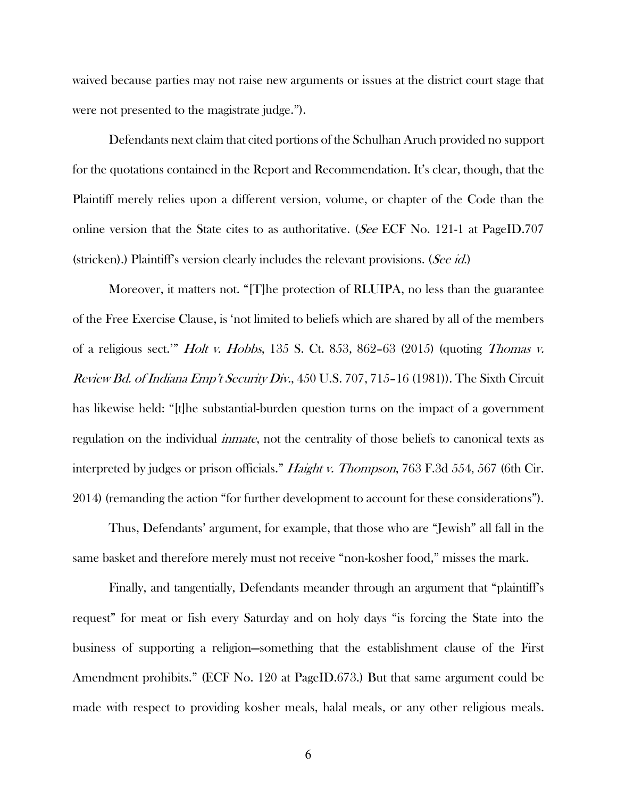waived because parties may not raise new arguments or issues at the district court stage that were not presented to the magistrate judge.").

Defendants next claim that cited portions of the Schulhan Aruch provided no support for the quotations contained in the Report and Recommendation. It's clear, though, that the Plaintiff merely relies upon a different version, volume, or chapter of the Code than the online version that the State cites to as authoritative. (See ECF No. 121-1 at PageID.707 (stricken).) Plaintiff's version clearly includes the relevant provisions. (*See id.*)

Moreover, it matters not. "[T]he protection of RLUIPA, no less than the guarantee of the Free Exercise Clause, is 'not limited to beliefs which are shared by all of the members of a religious sect." *Holt v. Hobbs*, 135 S. Ct. 853, 862–63 (2015) (quoting *Thomas v.* Review Bd. of Indiana Emp't Security Div., 450 U.S. 707, 715-16 (1981)). The Sixth Circuit has likewise held: "[t]he substantial-burden question turns on the impact of a government regulation on the individual *inmate*, not the centrality of those beliefs to canonical texts as interpreted by judges or prison officials." *Haight v. Thompson*, 763 F.3d 554, 567 (6th Cir. 2014) (remanding the action "for further development to account for these considerations").

Thus, Defendants' argument, for example, that those who are "Jewish" all fall in the same basket and therefore merely must not receive "non-kosher food," misses the mark.

Finally, and tangentially, Defendants meander through an argument that "plaintiff's request" for meat or fish every Saturday and on holy days "is forcing the State into the business of supporting a religion—something that the establishment clause of the First Amendment prohibits." (ECF No. 120 at PageID.673.) But that same argument could be made with respect to providing kosher meals, halal meals, or any other religious meals.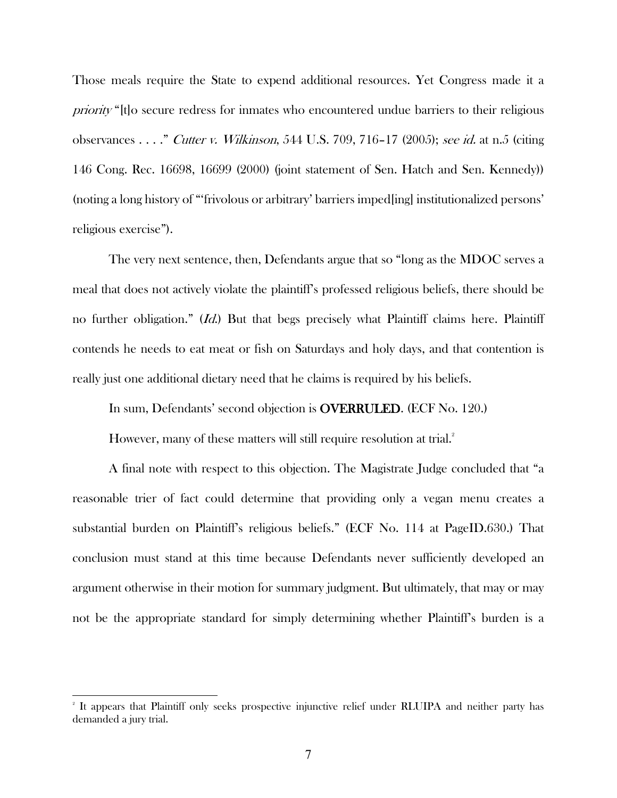Those meals require the State to expend additional resources. Yet Congress made it a priority "[t]o secure redress for inmates who encountered undue barriers to their religious observances . . . ." Cutter v. Wilkinson, 544 U.S. 709, 716–17 (2005); see id. at n.5 (citing 146 Cong. Rec. 16698, 16699 (2000) (joint statement of Sen. Hatch and Sen. Kennedy)) (noting a long history of "'frivolous or arbitrary' barriers imped[ing] institutionalized persons' religious exercise").

The very next sentence, then, Defendants argue that so "long as the MDOC serves a meal that does not actively violate the plaintiff's professed religious beliefs, there should be no further obligation." (*Id.*) But that begs precisely what Plaintiff claims here. Plaintiff contends he needs to eat meat or fish on Saturdays and holy days, and that contention is really just one additional dietary need that he claims is required by his beliefs.

In sum, Defendants' second objection is OVERRULED. (ECF No. 120.)

However, many of these matters will still require resolution at trial.<sup>2</sup>

A final note with respect to this objection. The Magistrate Judge concluded that "a reasonable trier of fact could determine that providing only a vegan menu creates a substantial burden on Plaintiff's religious beliefs." (ECF No. 114 at PageID.630.) That conclusion must stand at this time because Defendants never sufficiently developed an argument otherwise in their motion for summary judgment. But ultimately, that may or may not be the appropriate standard for simply determining whether Plaintiff's burden is a

 $\overline{a}$ 

<sup>2</sup> It appears that Plaintiff only seeks prospective injunctive relief under RLUIPA and neither party has demanded a jury trial.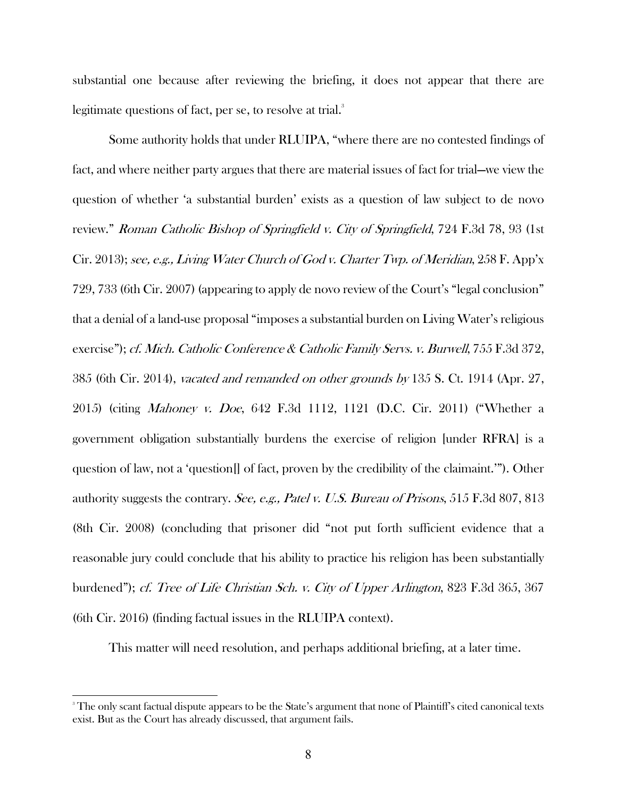substantial one because after reviewing the briefing, it does not appear that there are legitimate questions of fact, per se, to resolve at trial.<sup>3</sup>

Some authority holds that under RLUIPA, "where there are no contested findings of fact, and where neither party argues that there are material issues of fact for trial—we view the question of whether 'a substantial burden' exists as a question of law subject to de novo review." Roman Catholic Bishop of Springfield v. City of Springfield, 724 F.3d 78, 93 (1st Cir. 2013); see, e.g., Living Water Church of God v. Charter Twp. of Meridian, 258 F. App'x 729, 733 (6th Cir. 2007) (appearing to apply de novo review of the Court's "legal conclusion" that a denial of a land-use proposal "imposes a substantial burden on Living Water's religious exercise"); cf. Mich. Catholic Conference & Catholic Family Servs. v. Burwell, 755 F.3d 372, 385 (6th Cir. 2014), vacated and remanded on other grounds by 135 S. Ct. 1914 (Apr. 27, 2015) (citing Mahoney v. Doe, 642 F.3d 1112, 1121 (D.C. Cir. 2011) ("Whether a government obligation substantially burdens the exercise of religion [under RFRA] is a question of law, not a 'question[] of fact, proven by the credibility of the claimaint.'"). Other authority suggests the contrary. See, e.g., Patel v. U.S. Bureau of Prisons, 515 F.3d 807, 813 (8th Cir. 2008) (concluding that prisoner did "not put forth sufficient evidence that a reasonable jury could conclude that his ability to practice his religion has been substantially burdened"); *cf. Tree of Life Christian Sch. v. City of Upper Arlington*, 823 F.3d 365, 367 (6th Cir. 2016) (finding factual issues in the RLUIPA context).

This matter will need resolution, and perhaps additional briefing, at a later time.

 $\overline{a}$ 

<sup>3</sup> The only scant factual dispute appears to be the State's argument that none of Plaintiff's cited canonical texts exist. But as the Court has already discussed, that argument fails.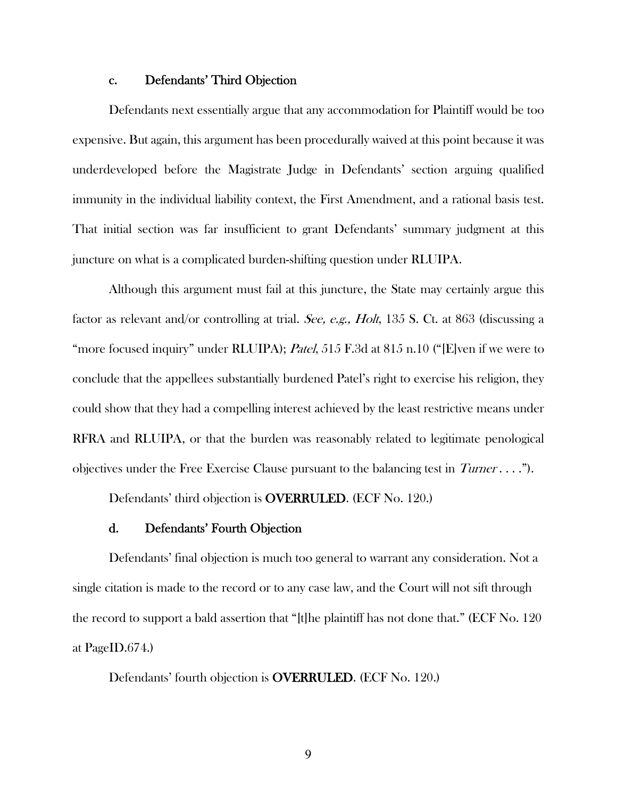### c. Defendants' Third Objection

Defendants next essentially argue that any accommodation for Plaintiff would be too expensive. But again, this argument has been procedurally waived at this point because it was underdeveloped before the Magistrate Judge in Defendants' section arguing qualified immunity in the individual liability context, the First Amendment, and a rational basis test. That initial section was far insufficient to grant Defendants' summary judgment at this juncture on what is a complicated burden-shifting question under RLUIPA.

Although this argument must fail at this juncture, the State may certainly argue this factor as relevant and/or controlling at trial. See, e.g., Holt, 135 S. Ct. at 863 (discussing a "more focused inquiry" under RLUIPA); Patel, 515 F.3d at 815 n.10 ("[E]ven if we were to conclude that the appellees substantially burdened Patel's right to exercise his religion, they could show that they had a compelling interest achieved by the least restrictive means under RFRA and RLUIPA, or that the burden was reasonably related to legitimate penological objectives under the Free Exercise Clause pursuant to the balancing test in  $Turner \ldots$ ").

Defendants' third objection is OVERRULED. (ECF No. 120.)

## d. Defendants' Fourth Objection

Defendants' final objection is much too general to warrant any consideration. Not a single citation is made to the record or to any case law, and the Court will not sift through the record to support a bald assertion that "[t]he plaintiff has not done that." (ECF No. 120 at PageID.674.)

Defendants' fourth objection is OVERRULED. (ECF No. 120.)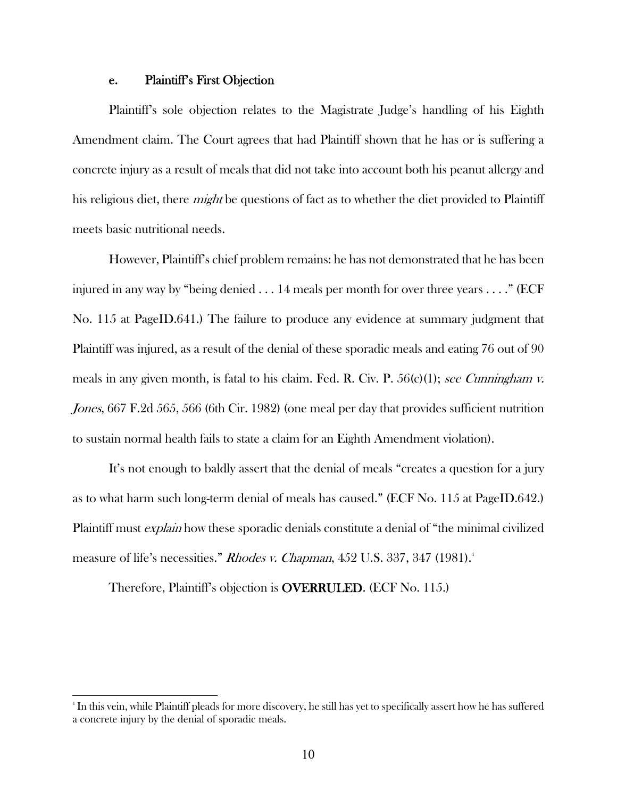### e. Plaintiff's First Objection

Plaintiff's sole objection relates to the Magistrate Judge's handling of his Eighth Amendment claim. The Court agrees that had Plaintiff shown that he has or is suffering a concrete injury as a result of meals that did not take into account both his peanut allergy and his religious diet, there *might* be questions of fact as to whether the diet provided to Plaintiff meets basic nutritional needs.

However, Plaintiff's chief problem remains: he has not demonstrated that he has been injured in any way by "being denied . . . 14 meals per month for over three years . . . ." (ECF No. 115 at PageID.641.) The failure to produce any evidence at summary judgment that Plaintiff was injured, as a result of the denial of these sporadic meals and eating 76 out of 90 meals in any given month, is fatal to his claim. Fed. R. Civ. P.  $56(c)(1)$ ; see Cunningham v. Jones, 667 F.2d 565, 566 (6th Cir. 1982) (one meal per day that provides sufficient nutrition to sustain normal health fails to state a claim for an Eighth Amendment violation).

It's not enough to baldly assert that the denial of meals "creates a question for a jury as to what harm such long-term denial of meals has caused." (ECF No. 115 at PageID.642.) Plaintiff must *explain* how these sporadic denials constitute a denial of "the minimal civilized measure of life's necessities." Rhodes v. Chapman, 452 U.S. 337, 347 (1981).<sup>4</sup>

Therefore, Plaintiff's objection is OVERRULED. (ECF No. 115.)

 $\overline{a}$ 

<sup>4</sup> In this vein, while Plaintiff pleads for more discovery, he still has yet to specifically assert how he has suffered a concrete injury by the denial of sporadic meals.